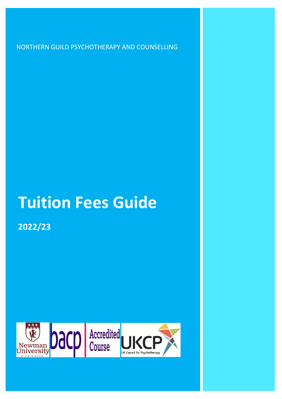NORTHERN GUILD PSYCHOTHERAPY AND COUNSELLING

# **Tuition Fees Guide**

**2022/23** 

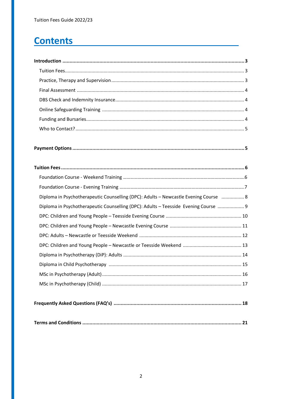# **Contents**

| Diploma in Psychotherapeutic Counselling (DPC): Adults - Newcastle Evening Course  8 |
|--------------------------------------------------------------------------------------|
| Diploma in Psychotherapeutic Counselling (DPC): Adults - Teesside Evening Course  9  |
|                                                                                      |
|                                                                                      |
|                                                                                      |
|                                                                                      |
|                                                                                      |
|                                                                                      |
|                                                                                      |
|                                                                                      |
|                                                                                      |
|                                                                                      |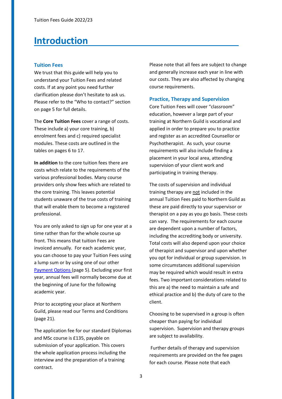# <span id="page-2-0"></span>**Introduction**

#### <span id="page-2-1"></span>**Tuition Fees**

We trust that this guide will help you to understand your Tuition Fees and related costs. If at any point you need further clarification please don't hesitate to ask us. Please refer to the "Who to contact?" section on page 5 for full details.

The **Core Tuition Fees** cover a range of costs. These include a) your core training, b) enrolment fees and c) required specialist modules. These costs are outlined in the tables on pages 6 to 17.

**In addition** to the core tuition fees there are costs which relate to the requirements of the various professional bodies. Many course providers only show fees which are related to the core training. This leaves potential students unaware of the true costs of training that will enable them to become a registered professional.

You are only asked to sign up for one year at a time rather than for the whole course up front. This means that tuition Fees are invoiced annually. For each academic year, you can choose to pay your Tuition Fees using a lump sum or by using one of our other [Payment Options \(](#page-4-0)page 5). Excluding your first year, annual fees will normally become due at the beginning of June for the following academic year.

Prior to accepting your place at Northern Guild, please read our Terms and Conditions (page 21).

The application fee for our standard Diplomas and MSc course is £135, payable on submission of your application. This covers the whole application process including the interview and the preparation of a training contract.

Please note that all fees are subject to change and generally increase each year in line with our costs. They are also affected by changing course requirements.

#### <span id="page-2-2"></span>**Practice, Therapy and Supervision**

Core Tuition Fees will cover "classroom" education, however a large part of your training at Northern Guild is vocational and applied in order to prepare you to practice and register as an accredited Counsellor or Psychotherapist. As such, your course requirements will also include finding a placement in your local area, attending supervision of your client work and participating in training therapy.

The costs of supervision and individual training therapy are not included in the annual Tuition Fees paid to Northern Guild as these are paid directly to your supervisor or therapist on a pay as you go basis. These costs can vary. The requirements for each course are dependent upon a number of factors, including the accrediting body or university. Total costs will also depend upon your choice of therapist and supervisor and upon whether you opt for individual or group supervision. In some circumstances additional supervision may be required which would result in extra fees. Two important considerations related to this are a) the need to maintain a safe and ethical practice and b) the duty of care to the client.

Choosing to be supervised in a group is often cheaper than paying for individual supervision. Supervision and therapy groups are subject to availability.

 Further details of therapy and supervision requirements are provided on the fee pages for each course. Please note that each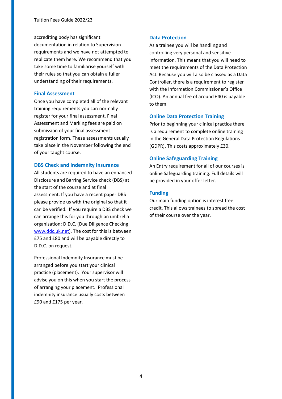accrediting body has significant documentation in relation to Supervision requirements and we have not attempted to replicate them here. We recommend that you take some time to familiarise yourself with their rules so that you can obtain a fuller understanding of their requirements.

#### <span id="page-3-0"></span>**Final Assessment**

Once you have completed all of the relevant training requirements you can normally register for your final assessment. Final Assessment and Marking fees are paid on submission of your final assessment registration form. These assessments usually take place in the November following the end of your taught course.

# <span id="page-3-1"></span>**DBS Check and Indemnity Insurance**

All students are required to have an enhanced Disclosure and Barring Service check (DBS) at the start of the course and at final assessment. If you have a recent paper DBS please provide us with the original so that it can be verified. If you require a DBS check we can arrange this for you through an umbrella organisation: D.D.C. (Due Diligence Checking [www.ddc.uk.net\)](http://www.ddc.uk.net/). The cost for this is between £75 and £80 and will be payable directly to D.D.C. on request.

<span id="page-3-3"></span>Professional Indemnity Insurance must be arranged before you start your clinical practice (placement). Your supervisor will advise you on this when you start the process of arranging your placement. Professional indemnity insurance usually costs between £90 and £175 per year.

#### **Data Protection**

As a trainee you will be handling and controlling very personal and sensitive information. This means that you will need to meet the requirements of the Data Protection Act. Because you will also be classed as a Data Controller, there is a requirement to register with the Information Commissioner's Office (ICO). An annual fee of around £40 is payable to them.

# **Online Data Protection Training**

Prior to beginning your clinical practice there is a requirement to complete online training in the General Data Protection Regulations (GDPR). This costs approximately £30.

# **Online Safeguarding Training**

An Entry requirement for all of our courses is online Safeguarding training. Full details will be provided in your offer letter.

# <span id="page-3-2"></span>**Funding**

Our main funding option is interest free credit. This allows trainees to spread the cost of their course over the year.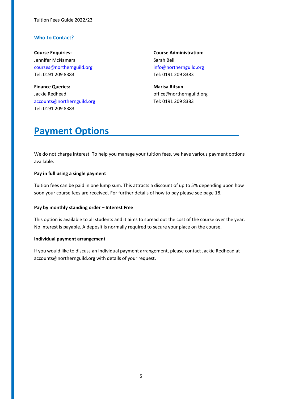# **Who to Contact?**

**Course Enquiries: Course Administration:**  Jennifer McNamara Sarah Bell [courses@northernguild.org](mailto:courses@northernguild.org) [info@northernguild.org](mailto:info@northernguild.org)  Tel: 0191 209 8383 Tel: 0191 209 8383

**Finance Queries:** Marisa Ritsun **Marisa Ritsun** Jackie Redhead **office** @northernguild.org [accounts@northernguild.org](mailto:accounts@northernguild.org) Tel: 0191 209 8383 Tel: 0191 209 8383

# <span id="page-4-0"></span>**Payment Options**

We do not charge interest. To help you manage your tuition fees, we have various payment options available.

### **Pay in full using a single payment**

Tuition fees can be paid in one lump sum. This attracts a discount of up to 5% depending upon how soon your course fees are received. For further details of how to pay please see page 18.

#### **Pay by monthly standing order – Interest Free**

This option is available to all students and it aims to spread out the cost of the course over the year. No interest is payable. A deposit is normally required to secure your place on the course.

#### **Individual payment arrangement**

If you would like to discuss an individual payment arrangement, please contact Jackie Redhead at [accounts@northernguild.org](mailto:accounts@northernguild.org) with details of your request.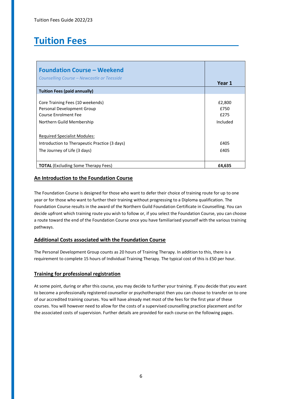# <span id="page-5-0"></span>**Tuition Fees**

| <b>Foundation Course - Weekend</b>                                                                                  |                                    |
|---------------------------------------------------------------------------------------------------------------------|------------------------------------|
| Counselling Course – Newcastle or Teesside                                                                          | Year 1                             |
| <b>Tuition Fees (paid annually)</b>                                                                                 |                                    |
| Core Training Fees (10 weekends)<br>Personal Development Group<br>Course Enrolment Fee<br>Northern Guild Membership | £2,800<br>£750<br>£275<br>Included |
| <b>Required Specialist Modules:</b>                                                                                 |                                    |
| Introduction to Therapeutic Practice (3 days)                                                                       | £405                               |
| The Journey of Life (3 days)                                                                                        | £405                               |
| <b>TOTAL</b> (Excluding Some Therapy Fees)                                                                          | £4,635                             |

# **An Introduction to the Foundation Course**

The Foundation Course is designed for those who want to defer their choice of training route for up to one year or for those who want to further their training without progressing to a Diploma qualification. The Foundation Course results in the award of the Northern Guild Foundation Certificate in Counselling. You can decide upfront which training route you wish to follow or, if you select the Foundation Course, you can choose a route toward the end of the Foundation Course once you have familiarised yourself with the various training pathways.

# **Additional Costs associated with the Foundation Course**

The Personal Development Group counts as 20 hours of Training Therapy. In addition to this, there is a requirement to complete 15 hours of Individual Training Therapy. The typical cost of this is £50 per hour.

# **Training for professional registration**

At some point, during or after this course, you may decide to further your training. If you decide that you want to become a professionally registered counsellor or psychotherapist then you can choose to transfer on to one of our accredited training courses. You will have already met most of the fees for the first year of these courses. You will however need to allow for the costs of a supervised counselling practice placement and for the associated costs of supervision. Further details are provided for each course on the following pages.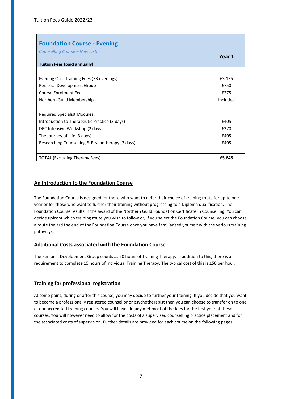| <b>Foundation Course - Evening</b><br><b>Counselling Course - Newcastle</b> |          |
|-----------------------------------------------------------------------------|----------|
|                                                                             | Year 1   |
| <b>Tuition Fees (paid annually)</b>                                         |          |
|                                                                             |          |
| Evening Core Training Fees (33 evenings)                                    | £3,135   |
| Personal Development Group                                                  | £750     |
| Course Enrolment Fee                                                        | £275     |
| Northern Guild Membership                                                   | Included |
|                                                                             |          |
| <b>Required Specialist Modules:</b>                                         |          |
| Introduction to Therapeutic Practice (3 days)                               | £405     |
| DPC Intensive Workshop (2 days)                                             | £270     |
| The Journey of Life (3 days)                                                | £405     |
| Researching Counselling & Psychotherapy (3 days)                            | £405     |
|                                                                             |          |
| <b>TOTAL</b> (Excluding Therapy Fees)                                       | £5,645   |

# **An Introduction to the Foundation Course**

The Foundation Course is designed for those who want to defer their choice of training route for up to one year or for those who want to further their training without progressing to a Diploma qualification. The Foundation Course results in the award of the Northern Guild Foundation Certificate in Counselling. You can decide upfront which training route you wish to follow or, if you select the Foundation Course, you can choose a route toward the end of the Foundation Course once you have familiarised yourself with the various training pathways.

# **Additional Costs associated with the Foundation Course**

The Personal Development Group counts as 20 hours of Training Therapy. In addition to this, there is a requirement to complete 15 hours of Individual Training Therapy. The typical cost of this is £50 per hour.

# **Training for professional registration**

At some point, during or after this course, you may decide to further your training. If you decide that you want to become a professionally registered counsellor or psychotherapist then you can choose to transfer on to one of our accredited training courses. You will have already met most of the fees for the first year of these courses. You will however need to allow for the costs of a supervised counselling practice placement and for the associated costs of supervision. Further details are provided for each course on the following pages.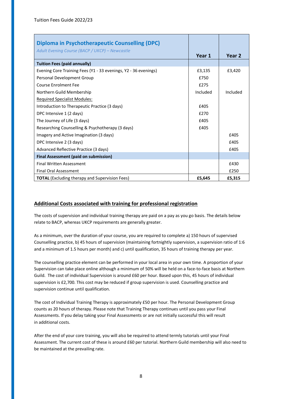<span id="page-7-0"></span>

| <b>Diploma in Psychotherapeutic Counselling (DPC)</b>           |          |                   |
|-----------------------------------------------------------------|----------|-------------------|
| Adult Evening Course (BACP / UKCP) – Newcastle                  | Year 1   | Year <sub>2</sub> |
| <b>Tuition Fees (paid annually)</b>                             |          |                   |
| Evening Core Training Fees (Y1 - 33 evenings, Y2 - 36 evenings) | £3,135   | £3,420            |
| Personal Development Group                                      | £750     |                   |
| Course Enrolment Fee                                            | £275     |                   |
| Northern Guild Membership                                       | Included | Included          |
| <b>Required Specialist Modules:</b>                             |          |                   |
| Introduction to Therapeutic Practice (3 days)                   | £405     |                   |
| DPC Intensive 1 (2 days)                                        | £270     |                   |
| The Journey of Life (3 days)                                    | £405     |                   |
| Researching Counselling & Psychotherapy (3 days)                | £405     |                   |
| Imagery and Active Imagination (3 days)                         |          | £405              |
| DPC Intensive 2 (3 days)                                        |          | £405              |
| Advanced Reflective Practice (3 days)                           |          | £405              |
| <b>Final Assessment (paid on submission)</b>                    |          |                   |
| <b>Final Written Assessment</b>                                 |          | £430              |
| <b>Final Oral Assessment</b>                                    |          | £250              |
| <b>TOTAL</b> (Excluding therapy and Supervision Fees)           | £5,645   | £5,315            |

The costs of supervision and individual training therapy are paid on a pay as you go basis. The details below relate to BACP, whereas UKCP requirements are generally greater.

As a minimum, over the duration of your course, you are required to complete a) 150 hours of supervised Counselling practice, b) 45 hours of supervision (maintaining fortnightly supervision, a supervision ratio of 1:6 and a minimum of 1.5 hours per month) and c) until qualification, 35 hours of training therapy per year.

The counselling practice element can be performed in your local area in your own time. A proportion of your Supervision can take place online although a minimum of 50% will be held on a face-to-face basis at Northern Guild. The cost of individual Supervision is around £60 per hour. Based upon this, 45 hours of individual supervision is £2,700. This cost may be reduced if group supervision is used. Counselling practice and supervision continue until qualification.

The cost of Individual Training Therapy is approximately £50 per hour. The Personal Development Group counts as 20 hours of therapy. Please note that Training Therapy continues until you pass your Final Assessments. If you delay taking your Final Assessments or are not initially successful this will result in additional costs.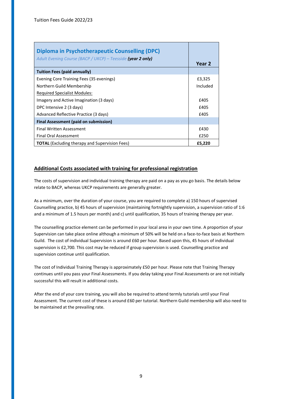| Diploma in Psychotherapeutic Counselling (DPC)<br>Adult Evening Course (BACP / UKCP) – Teesside (year 2 only) |          |
|---------------------------------------------------------------------------------------------------------------|----------|
|                                                                                                               | Year 2   |
| <b>Tuition Fees (paid annually)</b>                                                                           |          |
| Evening Core Training Fees (35 evenings)                                                                      | £3,325   |
| Northern Guild Membership                                                                                     | Included |
| <b>Required Specialist Modules:</b>                                                                           |          |
| Imagery and Active Imagination (3 days)                                                                       | £405     |
| DPC Intensive 2 (3 days)                                                                                      | £405     |
| Advanced Reflective Practice (3 days)                                                                         | £405     |
| <b>Final Assessment (paid on submission)</b>                                                                  |          |
| <b>Final Written Assessment</b>                                                                               | £430     |
| <b>Final Oral Assessment</b>                                                                                  | £250     |
| <b>TOTAL</b> (Excluding therapy and Supervision Fees)                                                         | £5,220   |

The costs of supervision and individual training therapy are paid on a pay as you go basis. The details below relate to BACP, whereas UKCP requirements are generally greater.

As a minimum, over the duration of your course, you are required to complete a) 150 hours of supervised Counselling practice, b) 45 hours of supervision (maintaining fortnightly supervision, a supervision ratio of 1:6 and a minimum of 1.5 hours per month) and c) until qualification, 35 hours of training therapy per year.

The counselling practice element can be performed in your local area in your own time. A proportion of your Supervision can take place online although a minimum of 50% will be held on a face-to-face basis at Northern Guild. The cost of individual Supervision is around £60 per hour. Based upon this, 45 hours of individual supervision is £2,700. This cost may be reduced if group supervision is used. Counselling practice and supervision continue until qualification.

The cost of Individual Training Therapy is approximately £50 per hour. Please note that Training Therapy continues until you pass your Final Assessments. If you delay taking your Final Assessments or are not initially successful this will result in additional costs.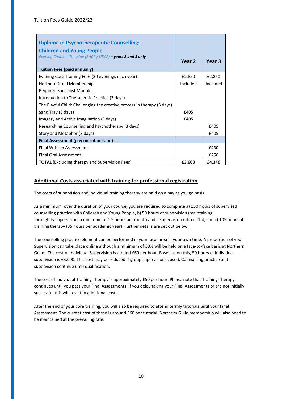| <b>Diploma in Psychotherapeutic Counselling:</b>                                                 |          |          |
|--------------------------------------------------------------------------------------------------|----------|----------|
| <b>Children and Young People</b><br>Evening Course – Teesside (BACP / UKCP) – years 2 and 3 only | Year 2   | Year 3   |
| <b>Tuition Fees (paid annually)</b>                                                              |          |          |
| Evening Core Training Fees (30 evenings each year)                                               | £2,850   | £2,850   |
| Northern Guild Membership                                                                        | Included | Included |
| <b>Required Specialist Modules:</b>                                                              |          |          |
| Introduction to Therapeutic Practice (3 days)                                                    |          |          |
| The Playful Child: Challenging the creative process in therapy (3 days)                          |          |          |
| Sand Tray (3 days)                                                                               | £405     |          |
| Imagery and Active Imagination (3 days)                                                          | £405     |          |
| Researching Counselling and Psychotherapy (3 days)                                               |          | £405     |
| Story and Metaphor (3 days)                                                                      |          | £405     |
| <b>Final Assessment (pay on submission)</b>                                                      |          |          |
| <b>Final Written Assessment</b>                                                                  |          | £430     |
| <b>Final Oral Assessment</b>                                                                     |          | £250     |
| <b>TOTAL</b> (Excluding therapy and Supervision Fees)                                            | £3,660   | £4,340   |

The costs of supervision and individual training therapy are paid on a pay as you go basis.

As a minimum, over the duration of your course, you are required to complete a) 150 hours of supervised counselling practice with Children and Young People, b) 50 hours of supervision (maintaining fortnightly supervision, a minimum of 1.5 hours per month and a supervision ratio of 1:4, and c) 105 hours of training therapy (35 hours per academic year). Further details are set out below.

The counselling practice element can be performed in your local area in your own time. A proportion of your Supervision can take place online although a minimum of 50% will be held on a face-to-face basis at Northern Guild. The cost of individual Supervision is around £60 per hour. Based upon this, 50 hours of individual supervision is £3,000. This cost may be reduced if group supervision is used. Counselling practice and supervision continue until qualification.

The cost of Individual Training Therapy is approximately £50 per hour. Please note that Training Therapy continues until you pass your Final Assessments. If you delay taking your Final Assessments or are not initially successful this will result in additional costs.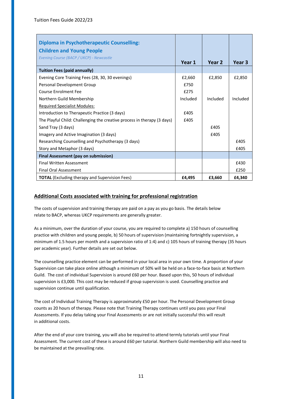| <b>Diploma in Psychotherapeutic Counselling:</b>                        |          |          |          |
|-------------------------------------------------------------------------|----------|----------|----------|
| <b>Children and Young People</b>                                        |          |          |          |
| Evening Course (BACP / UKCP) - Newcastle                                |          |          |          |
|                                                                         | Year 1   | Year 2   | Year 3   |
| <b>Tuition Fees (paid annually)</b>                                     |          |          |          |
| Evening Core Training Fees (28, 30, 30 evenings)                        | £2,660   | £2,850   | £2,850   |
| Personal Development Group                                              | £750     |          |          |
| <b>Course Enrolment Fee</b>                                             | £275     |          |          |
| Northern Guild Membership                                               | Included | Included | Included |
| <b>Required Specialist Modules:</b>                                     |          |          |          |
| Introduction to Therapeutic Practice (3 days)                           | £405     |          |          |
| The Playful Child: Challenging the creative process in therapy (3 days) | £405     |          |          |
| Sand Tray (3 days)                                                      |          | £405     |          |
| Imagery and Active Imagination (3 days)                                 |          | £405     |          |
| Researching Counselling and Psychotherapy (3 days)                      |          |          | £405     |
| Story and Metaphor (3 days)                                             |          |          | £405     |
| Final Assessment (pay on submission)                                    |          |          |          |
| <b>Final Written Assessment</b>                                         |          |          | £430     |
| <b>Final Oral Assessment</b>                                            |          |          | £250     |
| <b>TOTAL</b> (Excluding therapy and Supervision Fees)                   | £4,495   | £3,660   | £4,340   |

The costs of supervision and training therapy are paid on a pay as you go basis. The details below relate to BACP, whereas UKCP requirements are generally greater.

As a minimum, over the duration of your course, you are required to complete a) 150 hours of counselling practice with children and young people, b) 50 hours of supervision (maintaining fortnightly supervision, a minimum of 1.5 hours per month and a supervision ratio of 1:4) and c) 105 hours of training therapy (35 hours per academic year). Further details are set out below.

The counselling practice element can be performed in your local area in your own time. A proportion of your Supervision can take place online although a minimum of 50% will be held on a face-to-face basis at Northern Guild. The cost of individual Supervision is around £60 per hour. Based upon this, 50 hours of individual supervision is £3,000. This cost may be reduced if group supervision is used. Counselling practice and supervision continue until qualification.

The cost of Individual Training Therapy is approximately £50 per hour. The Personal Development Group counts as 20 hours of therapy. Please note that Training Therapy continues until you pass your Final Assessments. If you delay taking your Final Assessments or are not initially successful this will result in additional costs.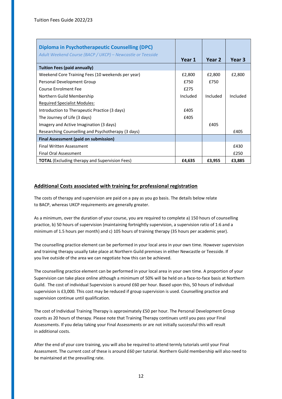<span id="page-11-0"></span>

| <b>Diploma in Psychotherapeutic Counselling (DPC)</b>      |          |          |          |
|------------------------------------------------------------|----------|----------|----------|
| Adult Weekend Course (BACP / UKCP) – Newcastle or Teesside | Year 1   | Year 2   | Year 3   |
| <b>Tuition Fees (paid annually)</b>                        |          |          |          |
| Weekend Core Training Fees (10 weekends per year)          | £2,800   | £2,800   | £2,800   |
| Personal Development Group                                 | £750     | £750     |          |
| <b>Course Enrolment Fee</b>                                | £275     |          |          |
| Northern Guild Membership                                  | Included | Included | Included |
| <b>Required Specialist Modules:</b>                        |          |          |          |
| Introduction to Therapeutic Practice (3 days)              | £405     |          |          |
| The Journey of Life (3 days)                               | £405     |          |          |
| Imagery and Active Imagination (3 days)                    |          | £405     |          |
| Researching Counselling and Psychotherapy (3 days)         |          |          | £405     |
| <b>Final Assessment (paid on submission)</b>               |          |          |          |
| Final Written Assessment                                   |          |          | £430     |
| <b>Final Oral Assessment</b>                               |          |          | £250     |
| <b>TOTAL</b> (Excluding therapy and Supervision Fees)      | £4,635   | £3,955   | £3,885   |

The costs of therapy and supervision are paid on a pay as you go basis. The details below relate to BACP, whereas UKCP requirements are generally greater.

As a minimum, over the duration of your course, you are required to complete a) 150 hours of counselling practice, b) 50 hours of supervision (maintaining fortnightly supervision, a supervision ratio of 1:6 and a minimum of 1.5 hours per month) and c) 105 hours of training therapy (35 hours per academic year).

The counselling practice element can be performed in your local area in your own time. However supervision and training therapy usually take place at Northern Guild premises in either Newcastle or Teesside. If you live outside of the area we can negotiate how this can be achieved.

The counselling practice element can be performed in your local area in your own time. A proportion of your Supervision can take place online although a minimum of 50% will be held on a face-to-face basis at Northern Guild. The cost of individual Supervision is around £60 per hour. Based upon this, 50 hours of individual supervision is £3,000. This cost may be reduced if group supervision is used. Counselling practice and supervision continue until qualification.

The cost of Individual Training Therapy is approximately £50 per hour. The Personal Development Group counts as 20 hours of therapy. Please note that Training Therapy continues until you pass your Final Assessments. If you delay taking your Final Assessments or are not initially successful this will result in additional costs.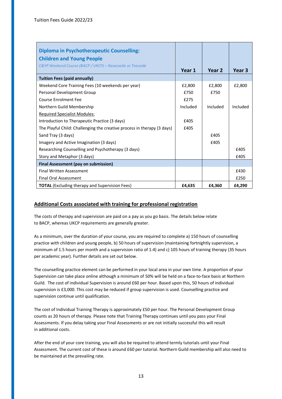<span id="page-12-0"></span>

| <b>Diploma in Psychotherapeutic Counselling:</b>                        |          |          |          |
|-------------------------------------------------------------------------|----------|----------|----------|
| <b>Children and Young People</b>                                        |          |          |          |
| C&YP Weekend Course (BACP / UKCP) - Newcastle or Teesside               | Year 1   | Year 2   | Year 3   |
|                                                                         |          |          |          |
| <b>Tuition Fees (paid annually)</b>                                     |          |          |          |
| Weekend Core Training Fees (10 weekends per year)                       | £2,800   | £2,800   | £2,800   |
| Personal Development Group                                              | £750     | £750     |          |
| <b>Course Enrolment Fee</b>                                             | £275     |          |          |
| Northern Guild Membership                                               | Included | Included | Included |
| <b>Required Specialist Modules:</b>                                     |          |          |          |
| Introduction to Therapeutic Practice (3 days)                           | £405     |          |          |
| The Playful Child: Challenging the creative process in therapy (3 days) | £405     |          |          |
| Sand Tray (3 days)                                                      |          | £405     |          |
| Imagery and Active Imagination (3 days)                                 |          | £405     |          |
| Researching Counselling and Psychotherapy (3 days)                      |          |          | £405     |
| Story and Metaphor (3 days)                                             |          |          | £405     |
| Final Assessment (pay on submission)                                    |          |          |          |
| <b>Final Written Assessment</b>                                         |          |          | £430     |
| <b>Final Oral Assessment</b>                                            |          |          | £250     |
| <b>TOTAL</b> (Excluding therapy and Supervision Fees)                   | £4,635   | £4,360   | £4,290   |

The costs of therapy and supervision are paid on a pay as you go basis. The details below relate to BACP, whereas UKCP requirements are generally greater.

As a minimum, over the duration of your course, you are required to complete a) 150 hours of counselling practice with children and young people, b) 50 hours of supervision (maintaining fortnightly supervision, a minimum of 1.5 hours per month and a supervision ratio of 1:4) and c) 105 hours of training therapy (35 hours per academic year). Further details are set out below.

The counselling practice element can be performed in your local area in your own time. A proportion of your Supervision can take place online although a minimum of 50% will be held on a face-to-face basis at Northern Guild. The cost of individual Supervision is around £60 per hour. Based upon this, 50 hours of individual supervision is £3,000. This cost may be reduced if group supervision is used. Counselling practice and supervision continue until qualification.

The cost of Individual Training Therapy is approximately £50 per hour. The Personal Development Group counts as 20 hours of therapy. Please note that Training Therapy continues until you pass your Final Assessments. If you delay taking your Final Assessments or are not initially successful this will result in additional costs.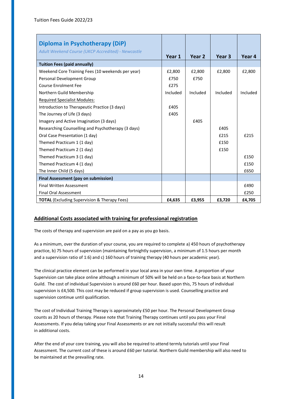<span id="page-13-0"></span>

| Diploma in Psychotherapy (DiP)                            |          |          |                   |          |
|-----------------------------------------------------------|----------|----------|-------------------|----------|
| <b>Adult Weekend Course (UKCP Accredited) - Newcastle</b> | Year 1   | Year 2   | Year <sub>3</sub> | Year 4   |
| <b>Tuition Fees (paid annually)</b>                       |          |          |                   |          |
| Weekend Core Training Fees (10 weekends per year)         | £2,800   | £2,800   | £2,800            | £2,800   |
| Personal Development Group                                | £750     | £750     |                   |          |
| <b>Course Enrolment Fee</b>                               | £275     |          |                   |          |
| Northern Guild Membership                                 | Included | Included | Included          | Included |
| <b>Required Specialist Modules:</b>                       |          |          |                   |          |
| Introduction to Therapeutic Practice (3 days)             | £405     |          |                   |          |
| The Journey of Life (3 days)                              | £405     |          |                   |          |
| Imagery and Active Imagination (3 days)                   |          | £405     |                   |          |
| Researching Counselling and Psychotherapy (3 days)        |          |          | £405              |          |
| Oral Case Presentation (1 day)                            |          |          | £215              | £215     |
| Themed Practicum 1 (1 day)                                |          |          | £150              |          |
| Themed Practicum 2 (1 day)                                |          |          | £150              |          |
| Themed Practicum 3 (1 day)                                |          |          |                   | £150     |
| Themed Practicum 4 (1 day)                                |          |          |                   | £150     |
| The Inner Child (5 days)                                  |          |          |                   | £650     |
| <b>Final Assessment (pay on submission)</b>               |          |          |                   |          |
| <b>Final Written Assessment</b>                           |          |          |                   | £490     |
| <b>Final Oral Assessment</b>                              |          |          |                   | £250     |
| <b>TOTAL</b> (Excluding Supervision & Therapy Fees)       | £4,635   | £3,955   | £3,720            | £4,705   |

The costs of therapy and supervision are paid on a pay as you go basis.

As a minimum, over the duration of your course, you are required to complete a) 450 hours of psychotherapy practice, b) 75 hours of supervision (maintaining fortnightly supervision, a minimum of 1.5 hours per month and a supervision ratio of 1:6) and c) 160 hours of training therapy (40 hours per academic year).

The clinical practice element can be performed in your local area in your own time. A proportion of your Supervision can take place online although a minimum of 50% will be held on a face-to-face basis at Northern Guild. The cost of individual Supervision is around £60 per hour. Based upon this, 75 hours of individual supervision is £4,500. This cost may be reduced if group supervision is used. Counselling practice and supervision continue until qualification.

The cost of Individual Training Therapy is approximately £50 per hour. The Personal Development Group counts as 20 hours of therapy. Please note that Training Therapy continues until you pass your Final Assessments. If you delay taking your Final Assessments or are not initially successful this will result in additional costs.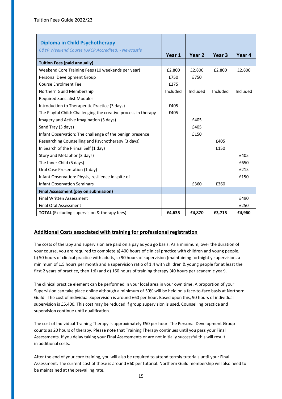<span id="page-14-0"></span>

| Diploma in Child Psychotherapy                                 |          |          |                   |          |
|----------------------------------------------------------------|----------|----------|-------------------|----------|
| C&YP Weekend Course (UKCP Accredited) - Newcastle              |          |          |                   |          |
|                                                                | Year 1   | Year 2   | Year <sub>3</sub> | Year 4   |
| <b>Tuition Fees (paid annually)</b>                            |          |          |                   |          |
| Weekend Core Training Fees (10 weekends per year)              | £2,800   | £2,800   | £2,800            | £2,800   |
| Personal Development Group                                     | £750     | £750     |                   |          |
| <b>Course Enrolment Fee</b>                                    | £275     |          |                   |          |
| Northern Guild Membership                                      | Included | Included | Included          | Included |
| <b>Required Specialist Modules:</b>                            |          |          |                   |          |
| Introduction to Therapeutic Practice (3 days)                  | £405     |          |                   |          |
| The Playful Child: Challenging the creative process in therapy | £405     |          |                   |          |
| Imagery and Active Imagination (3 days)                        |          | £405     |                   |          |
| Sand Tray (3 days)                                             |          | £405     |                   |          |
| Infant Observation: The challenge of the benign presence       |          | £150     |                   |          |
| Researching Counselling and Psychotherapy (3 days)             |          |          | £405              |          |
| In Search of the Primal Self (1 day)                           |          |          | £150              |          |
| Story and Metaphor (3 days)                                    |          |          |                   | £405     |
| The Inner Child (5 days)                                       |          |          |                   | £650     |
| Oral Case Presentation (1 day)                                 |          |          |                   | £215     |
| Infant Observation: Physis, resilience in spite of             |          |          |                   | £150     |
| <b>Infant Observation Seminars</b>                             |          | £360     | £360              |          |
| <b>Final Assessment (pay on submission)</b>                    |          |          |                   |          |
| <b>Final Written Assessment</b>                                |          |          |                   | £490     |
| <b>Final Oral Assessment</b>                                   |          |          |                   | £250     |
| <b>TOTAL</b> (Excluding supervision & therapy fees)            | £4,635   | £4,870   | £3,715            | £4,960   |

The costs of therapy and supervision are paid on a pay as you go basis. As a minimum, over the duration of your course, you are required to complete a) 400 hours of clinical practice with children and young people, b) 50 hours of clinical practice with adults, c) 90 hours of supervision (maintaining fortnightly supervision, a minimum of 1.5 hours per month and a supervision ratio of 1:4 with children & young people for at least the first 2 years of practice, then 1:6) and d) 160 hours of training therapy (40 hours per academic year).

The clinical practice element can be performed in your local area in your own time. A proportion of your Supervision can take place online although a minimum of 50% will be held on a face-to-face basis at Northern Guild. The cost of individual Supervision is around £60 per hour. Based upon this, 90 hours of individual supervision is £5,400. This cost may be reduced if group supervision is used. Counselling practice and supervision continue until qualification.

The cost of Individual Training Therapy is approximately £50 per hour. The Personal Development Group counts as 20 hours of therapy. Please note that Training Therapy continues until you pass your Final Assessments. If you delay taking your Final Assessments or are not initially successful this will result in additional costs.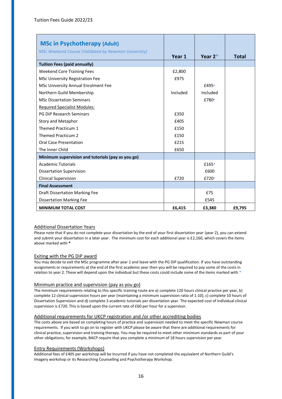<span id="page-15-0"></span>

| <b>MSc in Psychotherapy (Adult)</b>                        |          |            |              |
|------------------------------------------------------------|----------|------------|--------------|
| <b>MSc Weekend Course (Validated by Newman University)</b> | Year 1   | Year $2^*$ | <b>Total</b> |
| <b>Tuition Fees (paid annually)</b>                        |          |            |              |
| <b>Weekend Core Training Fees</b>                          | £2,800   |            |              |
| <b>MSc University Registration Fee</b>                     | £975     |            |              |
| MSc University Annual Enrolment Fee                        |          | £495*      |              |
| Northern Guild Membership                                  | Included | Included   |              |
| <b>MSc Dissertation Seminars</b>                           |          | £780*      |              |
| <b>Required Specialist Modules:</b>                        |          |            |              |
| <b>PG DiP Research Seminars</b>                            | £350     |            |              |
| Story and Metaphor                                         | £405     |            |              |
| Themed Practicum 1                                         | £150     |            |              |
| <b>Themed Practicum 2</b>                                  | £150     |            |              |
| <b>Oral Case Presentation</b>                              | £215     |            |              |
| The Inner Child                                            | £650     |            |              |
| Minimum supervision and tutorials (pay as you go)          |          |            |              |
| <b>Academic Tutorials</b>                                  |          | £165*      |              |
| <b>Dissertation Supervision</b>                            |          | £600       |              |
| <b>Clinical Supervision</b>                                | £720     | £720*      |              |
| <b>Final Assessment</b>                                    |          |            |              |
| <b>Draft Dissertation Marking Fee</b>                      |          | £75        |              |
| <b>Dissertation Marking Fee</b>                            |          | £545       |              |
| <b>MINIMUM TOTAL COST</b>                                  | £6,415   | £3,380     | £9,795       |

#### Additional Dissertation Years

Please note that if you do not complete your dissertation by the end of your first dissertation year (year 2), you can extend and submit your dissertation in a later year. The minimum cost for each additional year is £2,160, which covers the items above marked with **\*** 

#### Exiting with the PG DiP award

You may decide to exit the MSc programme after year 1 and leave with the PG DiP qualification. If you have outstanding assignments or requirements at the end of the first academic year then you will be required to pay some of the costs in relation to year 2. These will depend upon the individual but these costs could include some of the items marked with **\*** 

#### Minimum practice and supervision (pay as you go)

The minimum requirements relating to this specific training route are a) complete 120 hours clinical practice per year, b) complete 12 clinical supervision hours per year (maintaining a minimum supervision ratio of 1:10), c) complete 10 hours of Dissertation Supervision and d) complete 3 academic tutorials per dissertation year. The expected cost of Individual clinical supervision is £720. This is based upon the current rate of £60 per hour for a supervisor.

#### Additional requirements for UKCP registration and /or other accrediting bodies

The costs above are based on completing hours of practice and supervision needed to meet the specific Newman course requirements. If you wish to go on to register with UKCP please be aware that there are additional requirements for clinical practice, supervision and training therapy. You may be required to meet other minimum standards as part of your other obligations; for example, BACP require that you complete a minimum of 18 hours supervision per year.

#### Entry Requirements (Workshops)

Additional fees of £405 per workshop will be incurred if you have not completed the equivalent of Northern Guild's Imagery workshop or its Researching Counselling and Psychotherapy Workshop.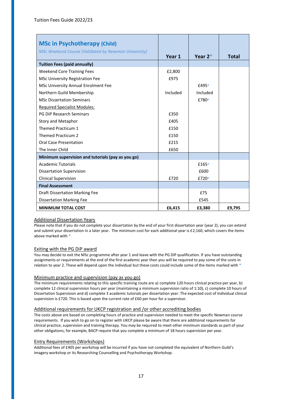<span id="page-16-0"></span>

| <b>MSc in Psychotherapy (Child)</b>                        |          |           |              |
|------------------------------------------------------------|----------|-----------|--------------|
| <b>MSc Weekend Course (Validated by Newman University)</b> | Year 1   | Year $2*$ | <b>Total</b> |
| <b>Tuition Fees (paid annually)</b>                        |          |           |              |
| <b>Weekend Core Training Fees</b>                          | £2,800   |           |              |
| <b>MSc University Registration Fee</b>                     | £975     |           |              |
| MSc University Annual Enrolment Fee                        |          | £495*     |              |
| Northern Guild Membership                                  | Included | Included  |              |
| <b>MSc Dissertation Seminars</b>                           |          | £780*     |              |
| <b>Required Specialist Modules:</b>                        |          |           |              |
| <b>PG DiP Research Seminars</b>                            | £350     |           |              |
| Story and Metaphor                                         | £405     |           |              |
| Themed Practicum 1                                         | £150     |           |              |
| <b>Themed Practicum 2</b>                                  | £150     |           |              |
| <b>Oral Case Presentation</b>                              | £215     |           |              |
| The Inner Child                                            | £650     |           |              |
| Minimum supervision and tutorials (pay as you go)          |          |           |              |
| <b>Academic Tutorials</b>                                  |          | $£165*$   |              |
| <b>Dissertation Supervision</b>                            |          | £600      |              |
| <b>Clinical Supervision</b>                                | £720     | £720*     |              |
| <b>Final Assessment</b>                                    |          |           |              |
| <b>Draft Dissertation Marking Fee</b>                      |          | £75       |              |
| <b>Dissertation Marking Fee</b>                            |          | £545      |              |
| <b>MINIMUM TOTAL COST</b>                                  | £6,415   | £3,380    | £9,795       |

#### <span id="page-16-1"></span>Additional Dissertation Years

Please note that if you do not complete your dissertation by the end of your first dissertation year (year 2), you can extend and submit your dissertation in a later year. The minimum cost for each additional year is £2,160, which covers the items above marked with **\*** 

#### Exiting with the PG DiP award

You may decide to exit the MSc programme after year 1 and leave with the PG DiP qualification. If you have outstanding assignments or requirements at the end of the first academic year then you will be required to pay some of the costs in relation to year 2. These will depend upon the individual but these costs could include some of the items marked with **\*** 

#### Minimum practice and supervision (pay as you go)

The minimum requirements relating to this specific training route are a) complete 120 hours clinical practice per year, b) complete 12 clinical supervision hours per year (maintaining a minimum supervision ratio of 1:10), c) complete 10 hours of Dissertation Supervision and d) complete 3 academic tutorials per dissertation year. The expected cost of Individual clinical supervision is £720. This is based upon the current rate of £60 per hour for a supervisor.

#### Additional requirements for UKCP registration and /or other accrediting bodies

The costs above are based on completing hours of practice and supervision needed to meet the specific Newman course requirements. If you wish to go on to register with UKCP please be aware that there are additional requirements for clinical practice, supervision and training therapy. You may be required to meet other minimum standards as part of your other obligations; for example, BACP require that you complete a minimum of 18 hours supervision per year.

#### Entry Requirements (Workshops)

Additional fees of £405 per workshop will be incurred if you have not completed the equivalent of Northern Guild's Imagery workshop or its Researching Counselling and Psychotherapy Workshop.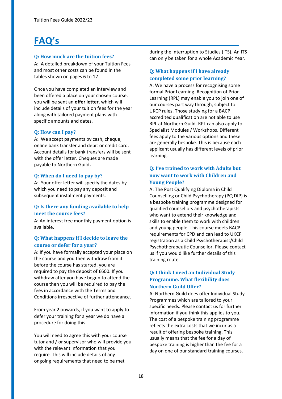# **FAQ's**

# **Q: How much are the tuition fees?**

A: A detailed breakdown of your Tuition Fees and most other costs can be found in the tables shown on pages 6 to 17.

Once you have completed an interview and been offered a place on your chosen course, you will be sent an **offer letter**, which will include details of your tuition fees for the year along with tailored payment plans with specific amounts and dates.

# **Q: How can I pay?**

A: We accept payments by cash, cheque, online bank transfer and debit or credit card. Account details for bank transfers will be sent with the offer letter. Cheques are made payable to Northern Guild**.** 

# **Q: When do I need to pay by?**

A: Your offer letter will specify the dates by which you need to pay any deposit and subsequent instalment payments.

# **Q: Is there any funding available to help meet the course fees?**

A: An interest free monthly payment option is available.

# **Q: What happens if I decide to leave the course or defer for a year?**

A: If you have formally accepted your place on the course and you then withdraw from it before the course has started, you are required to pay the deposit of £600. If you withdraw after you have begun to attend the course then you will be required to pay the fees in accordance with the Terms and Conditions irrespective of further attendance.

From year 2 onwards, if you want to apply to defer your training for a year we do have a procedure for doing this.

You will need to agree this with your course tutor and / or supervisor who will provide you with the relevant information that you require. This will include details of any ongoing requirements that need to be met

during the Interruption to Studies (ITS). An ITS can only be taken for a whole Academic Year.

# **Q: What happens if I have already completed some prior learning?**

A: We have a process for recognising some formal Prior Learning. Recognition of Prior Learning (RPL) may enable you to join one of our courses part way through, subject to UKCP rules. Those studying for a BACP accredited qualification are not able to use RPL at Northern Guild. RPL can also apply to Specialist Modules / Workshops. Different fees apply to the various options and these are generally bespoke. This is because each applicant usually has different levels of prior learning.

# **Q: I've trained to work with Adults but now want to work with Children and Young People?**

A: The Post Qualifying Diploma in Child Counselling or Child Psychotherapy (PQ DIP) is a bespoke training programme designed for qualified counsellors and psychotherapists who want to extend their knowledge and skills to enable them to work with children and young people. This course meets BACP requirements for CPD and can lead to UKCP registration as a Child Psychotherapist/Child Psychotherapeutic Counsellor. Please contact us if you would like further details of this training route.

# **Q: I think I need an Individual Study Programme. What flexibility does Northern Guild Offer?**

A: Northern Guild does offer Individual Study Programmes which are tailored to your specific needs. Please contact us for further information if you think this applies to you. The cost of a bespoke training programme reflects the extra costs that we incur as a result of offering bespoke training. This usually means that the fee for a day of bespoke training is higher than the fee for a day on one of our standard training courses.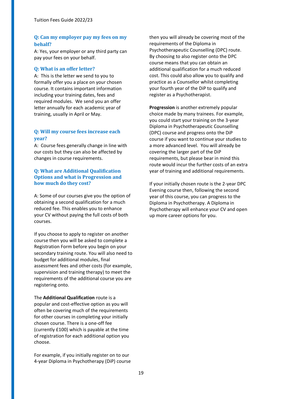# **Q: Can my employer pay my fees on my behalf?**

A: Yes, your employer or any third party can pay your fees on your behalf.

# **Q: What is an offer letter?**

A: This is the letter we send to you to formally offer you a place on your chosen course. It contains important information including your training dates, fees and required modules. We send you an offer letter annually for each academic year of training, usually in April or May.

# **Q: Will my course fees increase each year?**

A: Course fees generally change in line with our costs but they can also be affected by changes in course requirements.

# **Q: What are Additional Qualification Options and what is Progression and how much do they cost?**

A: Some of our courses give you the option of obtaining a second qualification for a much reduced fee. This enables you to enhance your CV without paying the full costs of both courses.

If you choose to apply to register on another course then you will be asked to complete a Registration Form before you begin on your secondary training route. You will also need to budget for additional modules, final assessment fees and other costs (for example, supervision and training therapy) to meet the requirements of the additional course you are registering onto.

The **Additional Qualification** route is a popular and cost-effective option as you will often be covering much of the requirements for other courses in completing your initially chosen course. There is a one-off fee (currently £100) which is payable at the time of registration for each additional option you choose.

For example, if you initially register on to our 4-year Diploma in Psychotherapy (DiP) course

then you will already be covering most of the requirements of the Diploma in Psychotherapeutic Counselling (DPC) route. By choosing to also register onto the DPC course means that you can obtain an additional qualification for a much reduced cost. This could also allow you to qualify and practice as a Counsellor whilst completing your fourth year of the DiP to qualify and register as a Psychotherapist.

**Progression** is another extremely popular choice made by many trainees. For example, you could start your training on the 3-year Diploma in Psychotherapeutic Counselling (DPC) course and progress onto the DiP course if you want to continue your studies to a more advanced level. You will already be covering the larger part of the DiP requirements, but please bear in mind this route would incur the further costs of an extra year of training and additional requirements.

If your initially chosen route is the 2-year DPC Evening course then, following the second year of this course, you can progress to the Diploma in Psychotherapy. A Diploma in Psychotherapy will enhance your CV and open up more career options for you.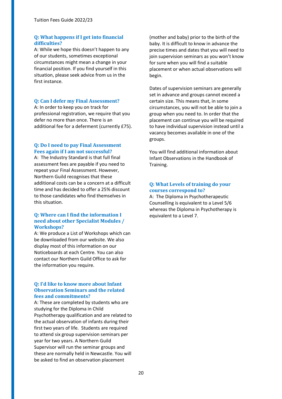### **Q: What happens if I get into financial difficulties?**

A: While we hope this doesn't happen to any of our students, sometimes exceptional circumstances might mean a change in your financial position. If you find yourself in this situation, please seek advice from us in the first instance.

# **Q: Can I defer my Final Assessment?**

A: In order to keep you on track for professional registration, we require that you defer no more than once. There is an additional fee for a deferment (currently £75).

#### **Q: Do I need to pay Final Assessment Fees again if I am not successful?**

A: The Industry Standard is that full final assessment fees are payable if you need to repeat your Final Assessment. However, Northern Guild recognises that these additional costs can be a concern at a difficult time and has decided to offer a 25% discount to those candidates who find themselves in this situation.

### **Q: Where can I find the information I need about other Specialist Modules / Workshops?**

A: We produce a List of Workshops which can be downloaded from our website. We also display most of this information on our Noticeboards at each Centre. You can also contact our Northern Guild Office to ask for the information you require.

#### **Q: I'd like to know more about Infant Observation Seminars and the related fees and commitments?**

A: These are completed by students who are studying for the Diploma in Child Psychotherapy qualification and are related to the actual observation of infants during their first two years of life. Students are required to attend six group supervision seminars per year for two years. A Northern Guild Supervisor will run the seminar groups and these are normally held in Newcastle. You will be asked to find an observation placement

(mother and baby) prior to the birth of the baby. It is difficult to know in advance the precise times and dates that you will need to join supervision seminars as you won't know for sure when you will find a suitable placement or when actual observations will begin.

Dates of supervision seminars are generally set in advance and groups cannot exceed a certain size. This means that, in some circumstances, you will not be able to join a group when you need to. In order that the placement can continue you will be required to have individual supervision instead until a vacancy becomes available in one of the groups.

You will find additional information about Infant Observations in the Handbook of Training.

### **Q: What Levels of training do your courses correspond to?**

A: The Diploma in Psychotherapeutic Counselling is equivalent to a Level 5/6 whereas the Diploma in Psychotherapy is equivalent to a Level 7.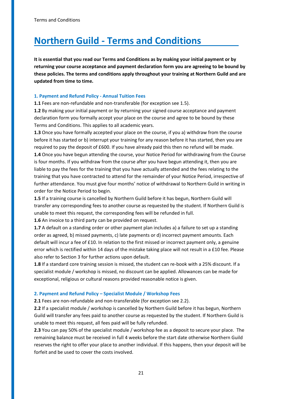# <span id="page-20-0"></span>**Northern Guild - Terms and Conditions**

**It is essential that you read our Terms and Conditions as by making your initial payment or by returning your course acceptance and payment declaration form you are agreeing to be bound by these policies. The terms and conditions apply throughout your training at Northern Guild and are updated from time to time.** 

#### **1. Payment and Refund Policy - Annual Tuition Fees**

**1.1** Fees are non-refundable and non-transferable (for exception see 1.5).

**1.2** By making your initial payment or by returning your signed course acceptance and payment declaration form you formally accept your place on the course and agree to be bound by these Terms and Conditions. This applies to all academic years.

**1.3** Once you have formally accepted your place on the course, if you a) withdraw from the course before it has started or b) interrupt your training for any reason before it has started, then you are required to pay the deposit of £600. If you have already paid this then no refund will be made. **1.4** Once you have begun attending the course, your Notice Period for withdrawing from the Course is four months. If you withdraw from the course after you have begun attending it, then you are liable to pay the fees for the training that you have actually attended and the fees relating to the training that you have contracted to attend for the remainder of your Notice Period, irrespective of further attendance. You must give four months' notice of withdrawal to Northern Guild in writing in order for the Notice Period to begin.

**1.5** If a training course is cancelled by Northern Guild before it has begun, Northern Guild will transfer any corresponding fees to another course as requested by the student. If Northern Guild is unable to meet this request, the corresponding fees will be refunded in full.

**1.6** An invoice to a third party can be provided on request.

**1.7** A default on a standing order or other payment plan includes a) a failure to set up a standing order as agreed, b) missed payments, c) late payments or d) incorrect payment amounts. Each default will incur a fee of £10. In relation to the first missed or incorrect payment only, a genuine error which is rectified within 14 days of the mistake taking place will not result in a £10 fee. Please also refer to Section 3 for further actions upon default.

**1.8** If a standard core training session is missed, the student can re-book with a 25% discount. If a specialist module / workshop is missed, no discount can be applied. Allowances can be made for exceptional, religious or cultural reasons provided reasonable notice is given.

#### **2. Payment and Refund Policy – Specialist Module / Workshop Fees**

**2.1** Fees are non-refundable and non-transferable (for exception see 2.2).

**2.2** If a specialist module / workshop is cancelled by Northern Guild before it has begun, Northern Guild will transfer any fees paid to another course as requested by the student. If Northern Guild is unable to meet this request, all fees paid will be fully refunded.

**2.3** You can pay 50% of the specialist module / workshop fee as a deposit to secure your place. The remaining balance must be received in full 4 weeks before the start date otherwise Northern Guild reserves the right to offer your place to another individual. If this happens, then your deposit will be forfeit and be used to cover the costs involved.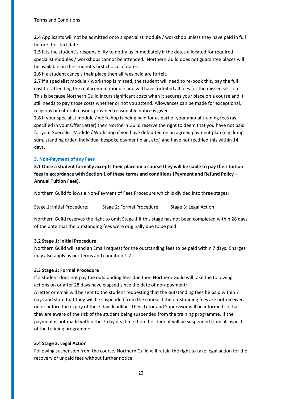**2.4** Applicants will not be admitted onto a specialist module / workshop unless they have paid in full before the start date.

**2.5** It is the student's responsibility to notify us immediately if the dates allocated for required specialist modules / workshops cannot be attended. Northern Guild does not guarantee places will be available on the student's first choice of dates.

**2.6** If a student cancels their place then all fees paid are forfeit.

**2.7** If a specialist module / workshop is missed, the student will need to re-book this, pay the full cost for attending the replacement module and will have forfeited all fees for the missed session. This is because Northern Guild incurs significant costs when it secures your place on a course and it still needs to pay those costs whether or not you attend. Allowances can be made for exceptional, religious or cultural reasons provided reasonable notice is given.

**2.8** If your specialist module / workshop is being paid for as part of your annual training fees (as specified in your Offer Letter) then Northern Guild reserve the right to deem that you have not paid for your Specialist Module / Workshop if you have defaulted on an agreed payment plan (e.g. lump sum, standing order, individual bespoke payment plan, etc.) and have not rectified this within 14 days.

# **3. Non-Payment of any Fees**

**3.1 Once a student formally accepts their place on a course they will be liable to pay their tuition fees in accordance with Section 1 of these terms and conditions (Payment and Refund Policy – Annual Tuition Fees).** 

Northern Guild follows a Non-Payment of Fees Procedure which is divided into three stages:

Stage 1: Initial Procedure; Stage 2: Formal Procedure; Stage 3: Legal Action

Northern Guild reserves the right to omit Stage 1 if this stage has not been completed within 28 days of the date that the outstanding fees were originally due to be paid.

# **3.2 Stage 1: Initial Procedure**

Northern Guild will send an Email request for the outstanding fees to be paid within 7 days. Charges may also apply as per terms and condition 1.7.

# **3.3 Stage 2: Formal Procedure**

If a student does not pay the outstanding fees due then Northern Guild will take the following actions on or after 28 days have elapsed since the date of non-payment:

A letter or email will be sent to the student requesting that the outstanding fees be paid within 7 days and state that they will be suspended from the course if the outstanding fees are not received on or before the expiry of the 7 day deadline. Their Tutor and Supervisor will be informed so that they are aware of the risk of the student being suspended from the training programme. If the payment is not made within the 7-day deadline then the student will be suspended from all aspects of the training programme.

# **3.4 Stage 3: Legal Action**

Following suspension from the course, Northern Guild will retain the right to take legal action for the recovery of unpaid fees without further notice.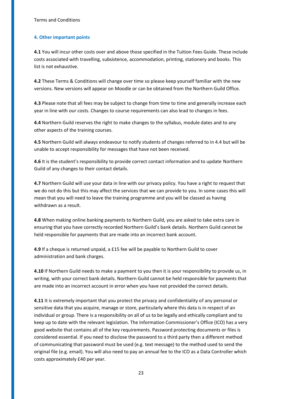#### **4. Other important points**

**4.1** You will incur other costs over and above those specified in the Tuition Fees Guide. These include costs associated with travelling, subsistence, accommodation, printing, stationery and books. This list is not exhaustive.

**4.2** These Terms & Conditions will change over time so please keep yourself familiar with the new versions. New versions will appear on Moodle or can be obtained from the Northern Guild Office.

**4.3** Please note that all fees may be subject to change from time to time and generally increase each year in line with our costs. Changes to course requirements can also lead to changes in fees.

**4.4** Northern Guild reserves the right to make changes to the syllabus, module dates and to any other aspects of the training courses.

**4.5** Northern Guild will always endeavour to notify students of changes referred to in 4.4 but will be unable to accept responsibility for messages that have not been received.

**4.6** It is the student's responsibility to provide correct contact information and to update Northern Guild of any changes to their contact details.

**4.7** Northern Guild will use your data in line with our privacy policy. You have a right to request that we do not do this but this may affect the services that we can provide to you. In some cases this will mean that you will need to leave the training programme and you will be classed as having withdrawn as a result.

**4.8** When making online banking payments to Northern Guild, you are asked to take extra care in ensuring that you have correctly recorded Northern Guild's bank details. Northern Guild cannot be held responsible for payments that are made into an incorrect bank account.

**4.9** If a cheque is returned unpaid, a £15 fee will be payable to Northern Guild to cover administration and bank charges.

**4.10** If Northern Guild needs to make a payment to you then it is your responsibility to provide us, in writing, with your correct bank details. Northern Guild cannot be held responsible for payments that are made into an incorrect account in error when you have not provided the correct details.

**4.11** It is extremely important that you protect the privacy and confidentiality of any personal or sensitive data that you acquire, manage or store, particularly where this data is in respect of an individual or group. There is a responsibility on all of us to be legally and ethically compliant and to keep up to date with the relevant legislation. The Information Commissioner's Office (ICO) has a very good website that contains all of the key requirements. Password protecting documents or files is considered essential. If you need to disclose the password to a third party then a different method of communicating that password must be used (e.g. text message) to the method used to send the original file (e.g. email). You will also need to pay an annual fee to the ICO as a Data Controller which costs approximately £40 per year.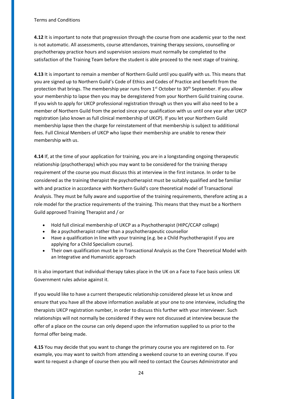**4.12** It is important to note that progression through the course from one academic year to the next is not automatic. All assessments, course attendances, training therapy sessions, counselling or psychotherapy practice hours and supervision sessions must normally be completed to the satisfaction of the Training Team before the student is able proceed to the next stage of training.

**4.13** It is important to remain a member of Northern Guild until you qualify with us. This means that you are signed up to Northern Guild's Code of Ethics and Codes of Practice and benefit from the protection that brings. The membership year runs from  $1<sup>st</sup>$  October to  $30<sup>th</sup>$  September. If you allow your membership to lapse then you may be deregistered from your Northern Guild training course. If you wish to apply for UKCP professional registration through us then you will also need to be a member of Northern Guild from the period since your qualification with us until one year after UKCP registration (also known as full clinical membership of UKCP). If you let your Northern Guild membership lapse then the charge for reinstatement of that membership is subject to additional fees. Full Clinical Members of UKCP who lapse their membership are unable to renew their membership with us.

**4.14** If, at the time of your application for training, you are in a longstanding ongoing therapeutic relationship (psychotherapy) which you may want to be considered for the training therapy requirement of the course you must discuss this at interview in the first instance. In order to be considered as the training therapist the psychotherapist must be suitably qualified and be familiar with and practice in accordance with Northern Guild's core theoretical model of Transactional Analysis. They must be fully aware and supportive of the training requirements, therefore acting as a role model for the practice requirements of the training. This means that they must be a Northern Guild approved Training Therapist and / or

- Hold full clinical membership of UKCP as a Psychotherapist (HIPC/CCAP college)
- Be a psychotherapist rather than a psychotherapeutic counsellor
- Have a qualification in line with your training (e.g. be a Child Psychotherapist if you are applying for a Child Specialism course).
- Their own qualification must be in Transactional Analysis as the Core Theoretical Model with an Integrative and Humanistic approach

It is also important that individual therapy takes place in the UK on a Face to Face basis unless UK Government rules advise against it.

If you would like to have a current therapeutic relationship considered please let us know and ensure that you have all the above information available at your one to one interview, including the therapists UKCP registration number, in order to discuss this further with your interviewer. Such relationships will not normally be considered if they were not discussed at interview because the offer of a place on the course can only depend upon the information supplied to us prior to the formal offer being made.

**4.15** You may decide that you want to change the primary course you are registered on to. For example, you may want to switch from attending a weekend course to an evening course. If you want to request a change of course then you will need to contact the Courses Administrator and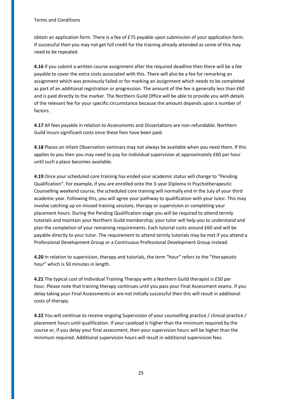obtain an application form. There is a fee of £75 payable upon submission of your application form. If successful then you may not get full credit for the training already attended as some of this may need to be repeated.

**4.16** If you submit a written course assignment after the required deadline then there will be a fee payable to cover the extra costs associated with this. There will also be a fee for remarking an assignment which was previously failed or for marking an assignment which needs to be completed as part of an additional registration or progression. The amount of the fee is generally less than £60 and is paid directly to the marker. The Northern Guild Office will be able to provide you with details of the relevant fee for your specific circumstance because the amount depends upon a number of factors.

**4.17** All fees payable in relation to Assessments and Dissertations are non-refundable. Northern Guild incurs significant costs once these fees have been paid.

**4.18** Places on Infant Observation seminars may not always be available when you need them. If this applies to you then you may need to pay for Individual supervision at approximately £60 per hour until such a place becomes available.

**4.19** Once your scheduled core training has ended your academic status will change to "Pending Qualification". For example, if you are enrolled onto the 3-year Diploma in Psychotherapeutic Counselling weekend course, the scheduled core training will normally end in the July of your third academic year. Following this, you will agree your pathway to qualification with your tutor. This may involve catching up on missed training sessions, therapy or supervision or completing your placement hours. During the Pending Qualification stage you will be required to attend termly tutorials and maintain your Northern Guild membership; your tutor will help you to understand and plan the completion of your remaining requirements. Each tutorial costs around £60 and will be payable directly to your tutor. The requirement to attend termly tutorials may be met if you attend a Professional Development Group or a Continuous Professional Development Group instead.

**4.20** In relation to supervision, therapy and tutorials, the term "hour" refers to the "therapeutic hour" which is 50 minutes in length.

**4.21** The typical cost of Individual Training Therapy with a Northern Guild therapist is £50 per hour. Please note that training therapy continues until you pass your Final Assessment exams. If you delay taking your Final Assessments or are not initially successful then this will result in additional costs of therapy.

**4.22** You will continue to receive ongoing Supervision of your counselling practice / clinical practice / placement hours until qualification. If your caseload is higher than the minimum required by the course or, if you delay your final assessment, then your supervision hours will be higher than the minimum required. Additional supervision hours will result in additional supervision fees.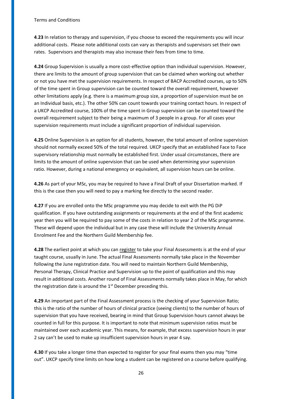**4**.**23** In relation to therapy and supervision, if you choose to exceed the requirements you will incur additional costs. Please note additional costs can vary as therapists and supervisors set their own rates. Supervisors and therapists may also increase their fees from time to time.

**4.24** Group Supervision is usually a more cost-effective option than individual supervision. However, there are limits to the amount of group supervision that can be claimed when working out whether or not you have met the supervision requirements. In respect of BACP Accredited courses, up to 50% of the time spent in Group supervision can be counted toward the overall requirement, however other limitations apply (e.g. there is a maximum group size, a proportion of supervision must be on an Individual basis, etc.). The other 50% can count towards your training contact hours. In respect of a UKCP Accredited course, 100% of the time spent in Group supervision can be counted toward the overall requirement subject to their being a maximum of 3 people in a group. For all cases your supervision requirements must include a significant proportion of individual supervision.

**4.25** Online Supervision is an option for all students, however, the total amount of online supervision should not normally exceed 50% of the total required. UKCP specify that an established Face to Face supervisory relationship must normally be established first. Under usual circumstances, there are limits to the amount of online supervision that can be used when determining your supervision ratio. However, during a national emergency or equivalent, all supervision hours can be online.

**4.26** As part of your MSc, you may be required to have a Final Draft of your Dissertation marked. If this is the case then you will need to pay a marking fee directly to the second reader.

**4.27** If you are enrolled onto the MSc programme you may decide to exit with the PG DiP qualification. If you have outstanding assignments or requirements at the end of the first academic year then you will be required to pay some of the costs in relation to year 2 of the MSc programme. These will depend upon the individual but in any case these will include the University Annual Enrolment Fee and the Northern Guild Membership fee.

**4.28** The earliest point at which you can register to take your Final Assessments is at the end of your taught course, usually in June. The actual Final Assessments normally take place in the November following the June registration date. You will need to maintain Northern Guild Membership, Personal Therapy, Clinical Practice and Supervision up to the point of qualification and this may result in additional costs. Another round of Final Assessments normally takes place in May, for which the registration date is around the  $1<sup>st</sup>$  December preceding this.

**4.29** An important part of the Final Assessment process is the checking of your Supervision Ratio; this is the ratio of the number of hours of clinical practice (seeing clients) to the number of hours of supervision that you have received, bearing in mind that Group Supervision hours cannot always be counted in full for this purpose. It is important to note that minimum supervision ratios must be maintained over each academic year. This means, for example, that excess supervision hours in year 2 say can't be used to make up insufficient supervision hours in year 4 say.

**4.30** If you take a longer time than expected to register for your final exams then you may "time out". UKCP specify time limits on how long a student can be registered on a course before qualifying.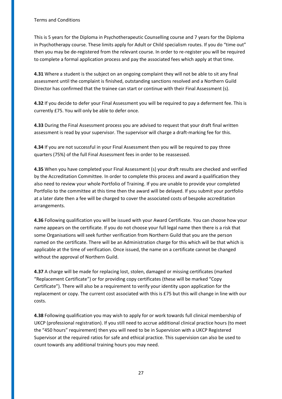This is 5 years for the Diploma in Psychotherapeutic Counselling course and 7 years for the Diploma in Psychotherapy course. These limits apply for Adult or Child specialism routes. If you do "time out" then you may be de-registered from the relevant course. In order to re-register you will be required to complete a formal application process and pay the associated fees which apply at that time.

**4.31** Where a student is the subject on an ongoing complaint they will not be able to sit any final assessment until the complaint is finished, outstanding sanctions resolved and a Northern Guild Director has confirmed that the trainee can start or continue with their Final Assessment (s).

**4.32** If you decide to defer your Final Assessment you will be required to pay a deferment fee. This is currently £75. You will only be able to defer once.

**4.33** During the Final Assessment process you are advised to request that your draft final written assessment is read by your supervisor. The supervisor will charge a draft-marking fee for this.

**4.34** If you are not successful in your Final Assessment then you will be required to pay three quarters (75%) of the full Final Assessment fees in order to be reassessed.

**4.35** When you have completed your Final Assessment (s) your draft results are checked and verified by the Accreditation Committee. In order to complete this process and award a qualification they also need to review your whole Portfolio of Training. If you are unable to provide your completed Portfolio to the committee at this time then the award will be delayed. If you submit your portfolio at a later date then a fee will be charged to cover the associated costs of bespoke accreditation arrangements.

**4.36** Following qualification you will be issued with your Award Certificate. You can choose how your name appears on the certificate. If you do not choose your full legal name then there is a risk that some Organisations will seek further verification from Northern Guild that you are the person named on the certificate. There will be an Administration charge for this which will be that which is applicable at the time of verification. Once issued, the name on a certificate cannot be changed without the approval of Northern Guild.

**4.37** A charge will be made for replacing lost, stolen, damaged or missing certificates (marked "Replacement Certificate") or for providing copy certificates (these will be marked "Copy Certificate"). There will also be a requirement to verify your identity upon application for the replacement or copy. The current cost associated with this is £75 but this will change in line with our costs.

**4.38** Following qualification you may wish to apply for or work towards full clinical membership of UKCP (professional registration). If you still need to accrue additional clinical practice hours (to meet the "450 hours" requirement) then you will need to be in Supervision with a UKCP Registered Supervisor at the required ratios for safe and ethical practice. This supervision can also be used to count towards any additional training hours you may need.